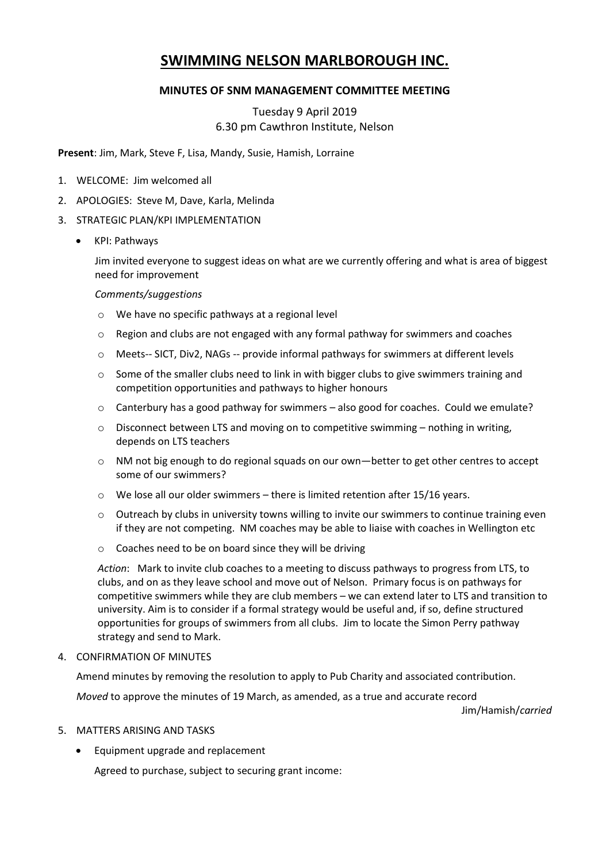# **SWIMMING NELSON MARLBOROUGH INC.**

### **MINUTES OF SNM MANAGEMENT COMMITTEE MEETING**

## Tuesday 9 April 2019 6.30 pm Cawthron Institute, Nelson

**Present**: Jim, Mark, Steve F, Lisa, Mandy, Susie, Hamish, Lorraine

- 1. WELCOME: Jim welcomed all
- 2. APOLOGIES: Steve M, Dave, Karla, Melinda
- 3. STRATEGIC PLAN/KPI IMPLEMENTATION
	- KPI: Pathways

Jim invited everyone to suggest ideas on what are we currently offering and what is area of biggest need for improvement

#### *Comments/suggestions*

- o We have no specific pathways at a regional level
- o Region and clubs are not engaged with any formal pathway for swimmers and coaches
- o Meets-- SICT, Div2, NAGs -- provide informal pathways for swimmers at different levels
- $\circ$  Some of the smaller clubs need to link in with bigger clubs to give swimmers training and competition opportunities and pathways to higher honours
- $\circ$  Canterbury has a good pathway for swimmers also good for coaches. Could we emulate?
- $\circ$  Disconnect between LTS and moving on to competitive swimming nothing in writing, depends on LTS teachers
- o NM not big enough to do regional squads on our own—better to get other centres to accept some of our swimmers?
- $\circ$  We lose all our older swimmers there is limited retention after 15/16 years.
- o Outreach by clubs in university towns willing to invite our swimmers to continue training even if they are not competing. NM coaches may be able to liaise with coaches in Wellington etc
- o Coaches need to be on board since they will be driving

*Action*: Mark to invite club coaches to a meeting to discuss pathways to progress from LTS, to clubs, and on as they leave school and move out of Nelson. Primary focus is on pathways for competitive swimmers while they are club members – we can extend later to LTS and transition to university. Aim is to consider if a formal strategy would be useful and, if so, define structured opportunities for groups of swimmers from all clubs. Jim to locate the Simon Perry pathway strategy and send to Mark.

4. CONFIRMATION OF MINUTES

Amend minutes by removing the resolution to apply to Pub Charity and associated contribution.

*Moved* to approve the minutes of 19 March, as amended, as a true and accurate record

Jim/Hamish/*carried*

#### 5. MATTERS ARISING AND TASKS

Equipment upgrade and replacement

Agreed to purchase, subject to securing grant income: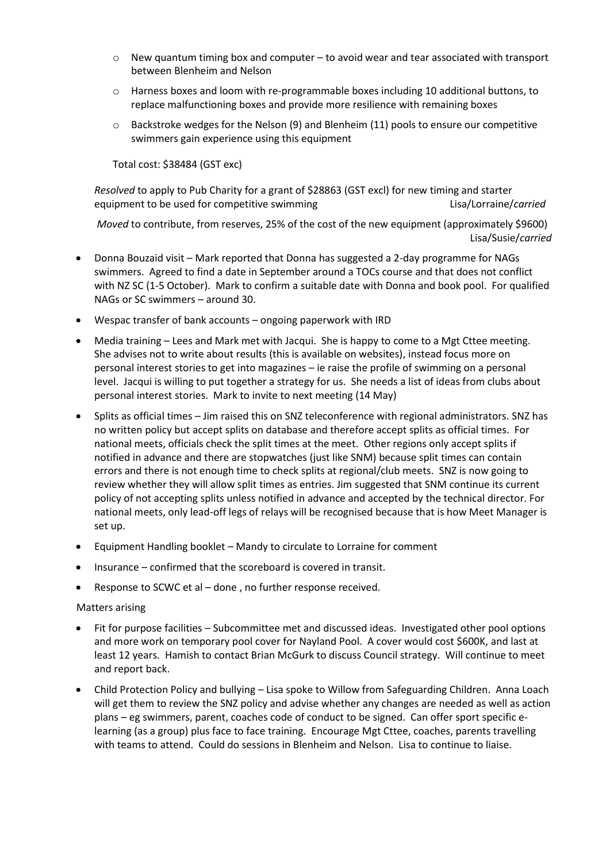- $\circ$  New quantum timing box and computer to avoid wear and tear associated with transport between Blenheim and Nelson
- o Harness boxes and loom with re-programmable boxes including 10 additional buttons, to replace malfunctioning boxes and provide more resilience with remaining boxes
- $\circ$  Backstroke wedges for the Nelson (9) and Blenheim (11) pools to ensure our competitive swimmers gain experience using this equipment

Total cost: \$38484 (GST exc)

*Resolved* to apply to Pub Charity for a grant of \$28863 (GST excl) for new timing and starter equipment to be used for competitive swimming equipment to be used for competitive swimming

*Moved* to contribute, from reserves, 25% of the cost of the new equipment (approximately \$9600) Lisa/Susie/*carried*

- Donna Bouzaid visit Mark reported that Donna has suggested a 2-day programme for NAGs swimmers. Agreed to find a date in September around a TOCs course and that does not conflict with NZ SC (1-5 October). Mark to confirm a suitable date with Donna and book pool. For qualified NAGs or SC swimmers – around 30.
- Wespac transfer of bank accounts ongoing paperwork with IRD
- Media training Lees and Mark met with Jacqui. She is happy to come to a Mgt Cttee meeting. She advises not to write about results (this is available on websites), instead focus more on personal interest stories to get into magazines – ie raise the profile of swimming on a personal level. Jacqui is willing to put together a strategy for us. She needs a list of ideas from clubs about personal interest stories. Mark to invite to next meeting (14 May)
- Splits as official times Jim raised this on SNZ teleconference with regional administrators. SNZ has no written policy but accept splits on database and therefore accept splits as official times. For national meets, officials check the split times at the meet. Other regions only accept splits if notified in advance and there are stopwatches (just like SNM) because split times can contain errors and there is not enough time to check splits at regional/club meets. SNZ is now going to review whether they will allow split times as entries. Jim suggested that SNM continue its current policy of not accepting splits unless notified in advance and accepted by the technical director. For national meets, only lead-off legs of relays will be recognised because that is how Meet Manager is set up.
- Equipment Handling booklet Mandy to circulate to Lorraine for comment
- Insurance confirmed that the scoreboard is covered in transit.
- Response to SCWC et al done , no further response received.

#### Matters arising

- Fit for purpose facilities Subcommittee met and discussed ideas. Investigated other pool options and more work on temporary pool cover for Nayland Pool. A cover would cost \$600K, and last at least 12 years. Hamish to contact Brian McGurk to discuss Council strategy. Will continue to meet and report back.
- Child Protection Policy and bullying Lisa spoke to Willow from Safeguarding Children. Anna Loach will get them to review the SNZ policy and advise whether any changes are needed as well as action plans – eg swimmers, parent, coaches code of conduct to be signed. Can offer sport specific elearning (as a group) plus face to face training. Encourage Mgt Cttee, coaches, parents travelling with teams to attend. Could do sessions in Blenheim and Nelson. Lisa to continue to liaise.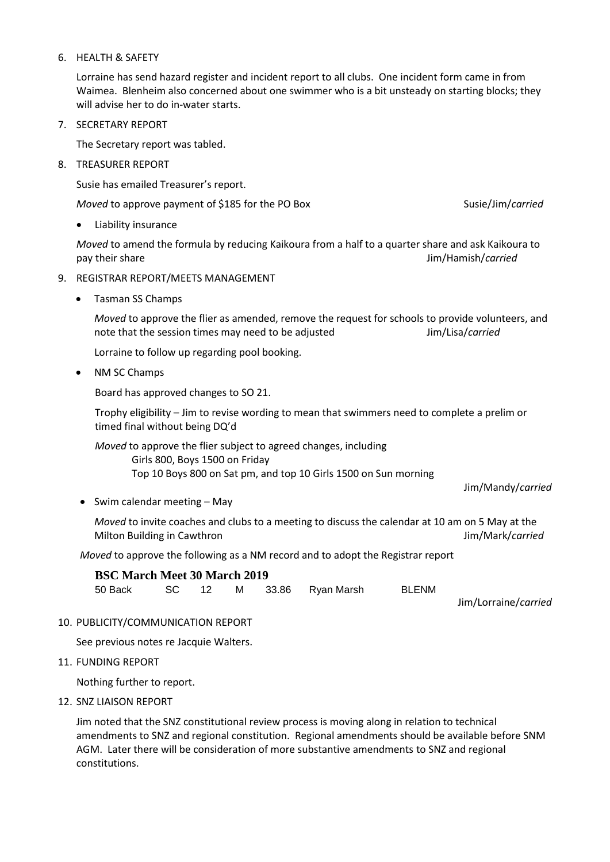#### 6. HEALTH & SAFETY

Lorraine has send hazard register and incident report to all clubs. One incident form came in from Waimea. Blenheim also concerned about one swimmer who is a bit unsteady on starting blocks; they will advise her to do in-water starts.

7. SECRETARY REPORT

The Secretary report was tabled.

8. TREASURER REPORT

Susie has emailed Treasurer's report.

*Moved* to approve payment of \$185 for the PO Box Susie/Jim/*carried* 

Liability insurance

*Moved* to amend the formula by reducing Kaikoura from a half to a quarter share and ask Kaikoura to pay their share Jim/Hamish/*carried*

- 9. REGISTRAR REPORT/MEETS MANAGEMENT
	- Tasman SS Champs

*Moved* to approve the flier as amended, remove the request for schools to provide volunteers, and note that the session times may need to be adjusted Jim/Lisa/*carried*

Lorraine to follow up regarding pool booking.

• NM SC Champs

Board has approved changes to SO 21.

Trophy eligibility – Jim to revise wording to mean that swimmers need to complete a prelim or timed final without being DQ'd

*Moved* to approve the flier subject to agreed changes, including Girls 800, Boys 1500 on Friday Top 10 Boys 800 on Sat pm, and top 10 Girls 1500 on Sun morning

Jim/Mandy/*carried*

 $\bullet$  Swim calendar meeting – May

*Moved* to invite coaches and clubs to a meeting to discuss the calendar at 10 am on 5 May at the Milton Building in Cawthron **Milton Building** in Cawthron Jim/Mark/*carried* 

*Moved* to approve the following as a NM record and to adopt the Registrar report

**BSC March Meet 30 March 2019** 50 Back SC 12 M 33.86 Ryan Marsh BLENM

Jim/Lorraine/*carried*

10. PUBLICITY/COMMUNICATION REPORT

See previous notes re Jacquie Walters.

11. FUNDING REPORT

Nothing further to report.

12. SNZ LIAISON REPORT

Jim noted that the SNZ constitutional review process is moving along in relation to technical amendments to SNZ and regional constitution. Regional amendments should be available before SNM AGM. Later there will be consideration of more substantive amendments to SNZ and regional constitutions.